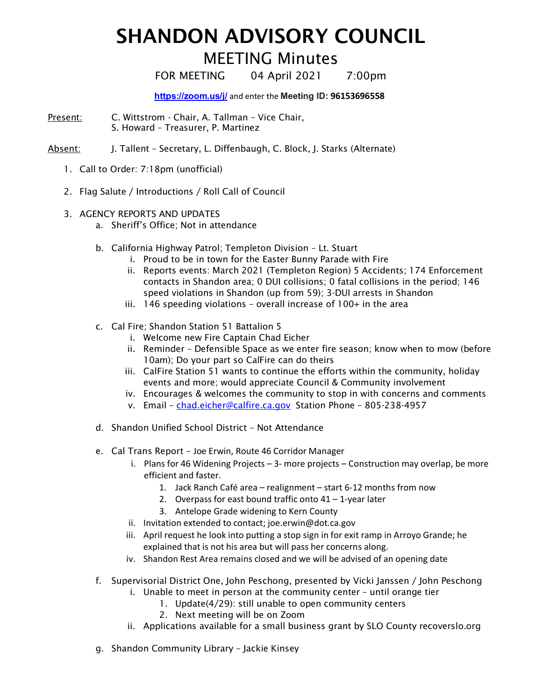## SHANDON ADVISORY COUNCIL

## MEETING Minutes

FOR MEETING 04 April 2021 7:00pm

**https://zoom.us/j/** and enter the **Meeting ID: 96153696558**

- Present: C. Wittstrom Chair, A. Tallman Vice Chair, S. Howard – Treasurer, P. Martinez
- Absent: J. Tallent Secretary, L. Diffenbaugh, C. Block, J. Starks (Alternate)
	- 1. Call to Order: 7:18pm (unofficial)
	- 2. Flag Salute / Introductions / Roll Call of Council
	- 3. AGENCY REPORTS AND UPDATES
		- a. Sheriff's Office; Not in attendance
		- b. California Highway Patrol; Templeton Division Lt. Stuart
			- i. Proud to be in town for the Easter Bunny Parade with Fire
			- ii. Reports events: March 2021 (Templeton Region) 5 Accidents; 174 Enforcement contacts in Shandon area; 0 DUI collisions; 0 fatal collisions in the period; 146 speed violations in Shandon (up from 59); 3-DUI arrests in Shandon
			- iii. 146 speeding violations overall increase of 100+ in the area
		- c. Cal Fire; Shandon Station 51 Battalion 5
			- i. Welcome new Fire Captain Chad Eicher
			- ii. Reminder Defensible Space as we enter fire season; know when to mow (before 10am); Do your part so CalFire can do theirs
			- iii. CalFire Station 51 wants to continue the efforts within the community, holiday events and more; would appreciate Council & Community involvement
			- iv. Encourages & welcomes the community to stop in with concerns and comments
			- v. Email chad.eicher@calfire.ca.gov Station Phone 805-238-4957
		- d. Shandon Unified School District Not Attendance
		- e. Cal Trans Report Joe Erwin, Route 46 Corridor Manager
			- i. Plans for 46 Widening Projects  $-3$  more projects  $-$  Construction may overlap, be more efficient and faster.
				- 1. Jack Ranch Café area realignment start 6-12 months from now
				- 2. Overpass for east bound traffic onto 41 1-year later
				- 3. Antelope Grade widening to Kern County
			- ii. Invitation extended to contact; joe.erwin@dot.ca.gov
			- iii. April request he look into putting a stop sign in for exit ramp in Arroyo Grande; he explained that is not his area but will pass her concerns along.
			- iv. Shandon Rest Area remains closed and we will be advised of an opening date
		- f. Supervisorial District One, John Peschong, presented by Vicki Janssen / John Peschong
			- i. Unable to meet in person at the community center until orange tier
				- 1. Update(4/29): still unable to open community centers
				- 2. Next meeting will be on Zoom
			- ii. Applications available for a small business grant by SLO County recoverslo.org
		- g. Shandon Community Library Jackie Kinsey